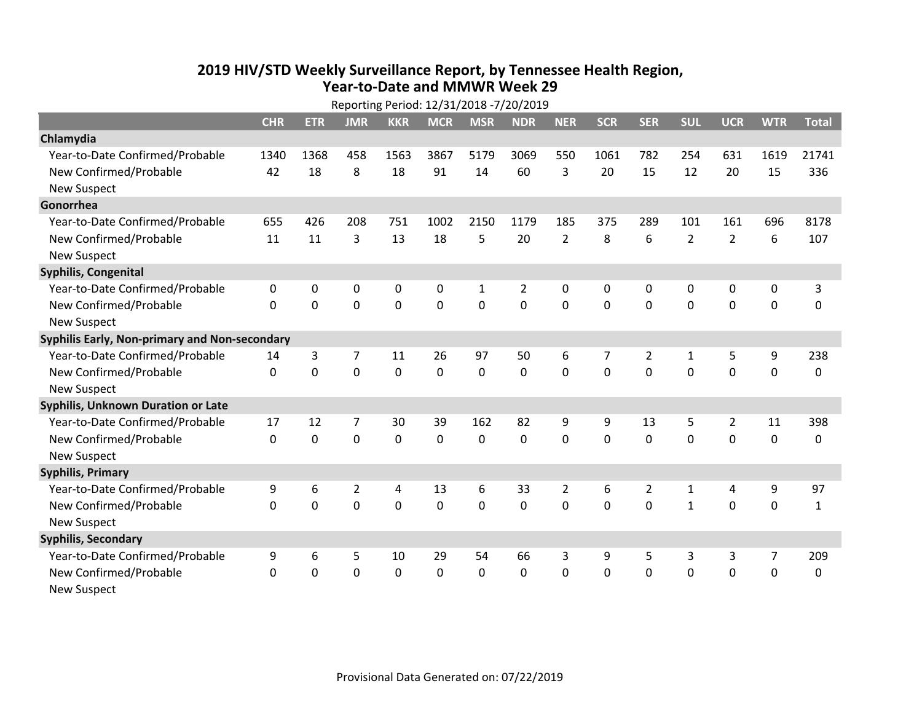## **2019 HIV /STD Weekly Surveillance Report, by Tennessee Health Region, Year‐to‐Date and MMWR Week 29**

|                                               | Reporting Period: 12/31/2018 -7/20/2019 |             |                |                |             |                |                |                |              |                |                |                |             |              |
|-----------------------------------------------|-----------------------------------------|-------------|----------------|----------------|-------------|----------------|----------------|----------------|--------------|----------------|----------------|----------------|-------------|--------------|
|                                               | <b>CHR</b>                              | <b>ETR</b>  | <b>JMR</b>     | <b>KKR</b>     | <b>MCR</b>  | <b>MSR</b>     | <b>NDR</b>     | <b>NER</b>     | <b>SCR</b>   | <b>SER</b>     | <b>SUL</b>     | <b>UCR</b>     | <b>WTR</b>  | <b>Total</b> |
| Chlamydia                                     |                                         |             |                |                |             |                |                |                |              |                |                |                |             |              |
| Year-to-Date Confirmed/Probable               | 1340                                    | 1368        | 458            | 1563           | 3867        | 5179           | 3069           | 550            | 1061         | 782            | 254            | 631            | 1619        | 21741        |
| New Confirmed/Probable                        | 42                                      | 18          | 8              | 18             | 91          | 14             | 60             | 3              | 20           | 15             | 12             | 20             | 15          | 336          |
| <b>New Suspect</b>                            |                                         |             |                |                |             |                |                |                |              |                |                |                |             |              |
| Gonorrhea                                     |                                         |             |                |                |             |                |                |                |              |                |                |                |             |              |
| Year-to-Date Confirmed/Probable               | 655                                     | 426         | 208            | 751            | 1002        | 2150           | 1179           | 185            | 375          | 289            | 101            | 161            | 696         | 8178         |
| New Confirmed/Probable                        | 11                                      | 11          | 3              | 13             | 18          | 5              | 20             | $\overline{2}$ | 8            | 6              | $\overline{2}$ | $\overline{2}$ | 6           | 107          |
| <b>New Suspect</b>                            |                                         |             |                |                |             |                |                |                |              |                |                |                |             |              |
| <b>Syphilis, Congenital</b>                   |                                         |             |                |                |             |                |                |                |              |                |                |                |             |              |
| Year-to-Date Confirmed/Probable               | 0                                       | 0           | $\mathbf 0$    | 0              | 0           | $\mathbf{1}$   | $\overline{2}$ | 0              | $\mathbf{0}$ | 0              | 0              | 0              | $\mathbf 0$ | 3            |
| New Confirmed/Probable                        | $\Omega$                                | 0           | $\mathbf 0$    | 0              | $\mathbf 0$ | 0              | 0              | $\mathbf 0$    | $\mathbf{0}$ | $\Omega$       | 0              | 0              | 0           | 0            |
| <b>New Suspect</b>                            |                                         |             |                |                |             |                |                |                |              |                |                |                |             |              |
| Syphilis Early, Non-primary and Non-secondary |                                         |             |                |                |             |                |                |                |              |                |                |                |             |              |
| Year-to-Date Confirmed/Probable               | 14                                      | 3           | 7              | 11             | 26          | 97             | 50             | 6              | 7            | $\overline{2}$ | 1              | 5              | 9           | 238          |
| New Confirmed/Probable                        | 0                                       | 0           | $\mathbf 0$    | 0              | 0           | 0              | 0              | $\mathbf 0$    | 0            | 0              | $\mathbf 0$    | 0              | $\mathbf 0$ | 0            |
| <b>New Suspect</b>                            |                                         |             |                |                |             |                |                |                |              |                |                |                |             |              |
| Syphilis, Unknown Duration or Late            |                                         |             |                |                |             |                |                |                |              |                |                |                |             |              |
| Year-to-Date Confirmed/Probable               | 17                                      | 12          | $\overline{7}$ | 30             | 39          | 162            | 82             | 9              | 9            | 13             | 5              | $\overline{2}$ | 11          | 398          |
| New Confirmed/Probable                        | 0                                       | $\mathbf 0$ | $\mathbf 0$    | $\mathbf 0$    | $\mathbf 0$ | $\mathbf 0$    | 0              | $\mathbf 0$    | 0            | $\mathbf 0$    | $\mathbf 0$    | $\mathbf 0$    | $\mathbf 0$ | 0            |
| <b>New Suspect</b>                            |                                         |             |                |                |             |                |                |                |              |                |                |                |             |              |
| <b>Syphilis, Primary</b>                      |                                         |             |                |                |             |                |                |                |              |                |                |                |             |              |
| Year-to-Date Confirmed/Probable               | 9                                       | 6           | $\overline{2}$ | 4              | 13          | 6              | 33             | $\overline{2}$ | 6            | $\overline{2}$ | 1              | 4              | 9           | 97           |
| New Confirmed/Probable                        | $\mathbf 0$                             | 0           | $\overline{0}$ | $\overline{0}$ | $\mathbf 0$ | $\overline{0}$ | 0              | $\Omega$       | 0            | $\mathbf 0$    | $\mathbf{1}$   | $\mathbf 0$    | $\mathbf 0$ | $\mathbf{1}$ |
| <b>New Suspect</b>                            |                                         |             |                |                |             |                |                |                |              |                |                |                |             |              |
| <b>Syphilis, Secondary</b>                    |                                         |             |                |                |             |                |                |                |              |                |                |                |             |              |
| Year-to-Date Confirmed/Probable               | 9                                       | 6           | 5              | 10             | 29          | 54             | 66             | 3              | 9            | 5              | 3              | 3              | 7           | 209          |
| New Confirmed/Probable                        | $\Omega$                                | 0           | 0              | 0              | $\mathbf 0$ | 0              | 0              | $\Omega$       | $\Omega$     | 0              | $\mathbf 0$    | 0              | $\mathbf 0$ | 0            |
| <b>New Suspect</b>                            |                                         |             |                |                |             |                |                |                |              |                |                |                |             |              |